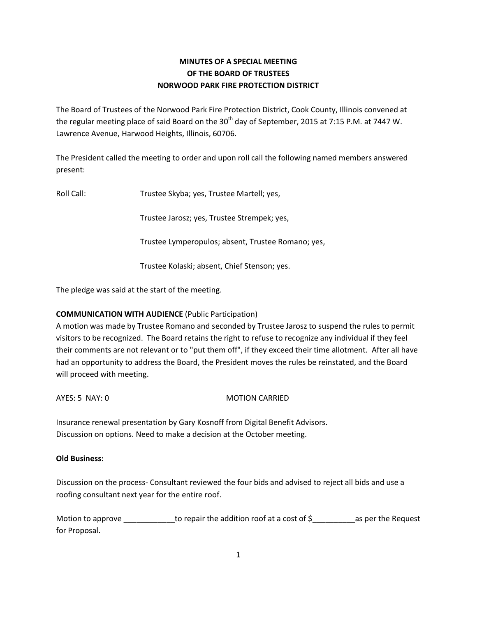# **MINUTES OF A SPECIAL MEETING OF THE BOARD OF TRUSTEES NORWOOD PARK FIRE PROTECTION DISTRICT**

The Board of Trustees of the Norwood Park Fire Protection District, Cook County, Illinois convened at the regular meeting place of said Board on the  $30<sup>th</sup>$  day of September, 2015 at 7:15 P.M. at 7447 W. Lawrence Avenue, Harwood Heights, Illinois, 60706.

The President called the meeting to order and upon roll call the following named members answered present:

Roll Call: Trustee Skyba; yes, Trustee Martell; yes,

Trustee Jarosz; yes, Trustee Strempek; yes,

Trustee Lymperopulos; absent, Trustee Romano; yes,

Trustee Kolaski; absent, Chief Stenson; yes.

The pledge was said at the start of the meeting.

## **COMMUNICATION WITH AUDIENCE** (Public Participation)

A motion was made by Trustee Romano and seconded by Trustee Jarosz to suspend the rules to permit visitors to be recognized. The Board retains the right to refuse to recognize any individual if they feel their comments are not relevant or to "put them off", if they exceed their time allotment. After all have had an opportunity to address the Board, the President moves the rules be reinstated, and the Board will proceed with meeting.

AYES: 5 NAY: 0 MOTION CARRIED

Insurance renewal presentation by Gary Kosnoff from Digital Benefit Advisors. Discussion on options. Need to make a decision at the October meeting.

## **Old Business:**

Discussion on the process- Consultant reviewed the four bids and advised to reject all bids and use a roofing consultant next year for the entire roof.

Motion to approve \_\_\_\_\_\_\_\_\_\_\_\_to repair the addition roof at a cost of \$\_\_\_\_\_\_\_\_\_\_as per the Request for Proposal.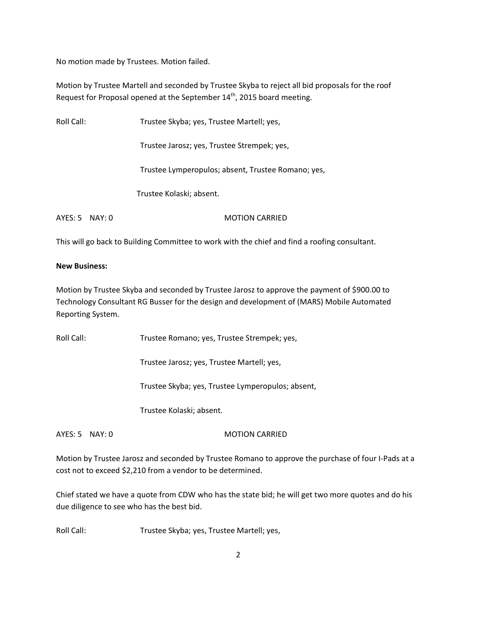No motion made by Trustees. Motion failed.

Motion by Trustee Martell and seconded by Trustee Skyba to reject all bid proposals for the roof Request for Proposal opened at the September 14<sup>th</sup>, 2015 board meeting.

| Roll Call: |        | Trustee Skyba; yes, Trustee Martell; yes,          |
|------------|--------|----------------------------------------------------|
|            |        | Trustee Jarosz; yes, Trustee Strempek; yes,        |
|            |        | Trustee Lymperopulos; absent, Trustee Romano; yes, |
|            |        | Trustee Kolaski; absent.                           |
| AYES: 5    | NAY: 0 | <b>MOTION CARRIED</b>                              |

This will go back to Building Committee to work with the chief and find a roofing consultant.

#### **New Business:**

Motion by Trustee Skyba and seconded by Trustee Jarosz to approve the payment of \$900.00 to Technology Consultant RG Busser for the design and development of (MARS) Mobile Automated Reporting System.

Roll Call: Trustee Romano; yes, Trustee Strempek; yes,

Trustee Jarosz; yes, Trustee Martell; yes,

Trustee Skyba; yes, Trustee Lymperopulos; absent,

Trustee Kolaski; absent.

AYES: 5 NAY: 0 MOTION CARRIED

Motion by Trustee Jarosz and seconded by Trustee Romano to approve the purchase of four I-Pads at a cost not to exceed \$2,210 from a vendor to be determined.

Chief stated we have a quote from CDW who has the state bid; he will get two more quotes and do his due diligence to see who has the best bid.

Roll Call: Trustee Skyba; yes, Trustee Martell; yes,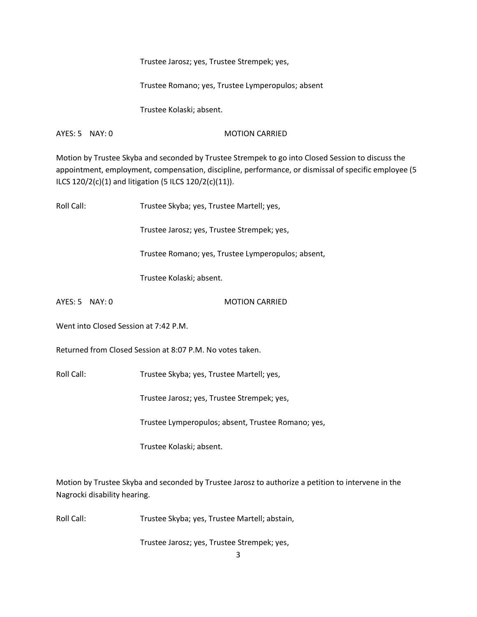Trustee Jarosz; yes, Trustee Strempek; yes,

Trustee Romano; yes, Trustee Lymperopulos; absent

Trustee Kolaski; absent.

AYES: 5 NAY: 0 MOTION CARRIED

Motion by Trustee Skyba and seconded by Trustee Strempek to go into Closed Session to discuss the appointment, employment, compensation, discipline, performance, or dismissal of specific employee (5 ILCS 120/2(c)(1) and litigation (5 ILCS 120/2(c)(11)).

| Roll Call:                                                | Trustee Skyba; yes, Trustee Martell; yes,          |  |
|-----------------------------------------------------------|----------------------------------------------------|--|
|                                                           | Trustee Jarosz; yes, Trustee Strempek; yes,        |  |
|                                                           | Trustee Romano; yes, Trustee Lymperopulos; absent, |  |
|                                                           | Trustee Kolaski; absent.                           |  |
| AYES: 5 NAY: 0                                            | <b>MOTION CARRIED</b>                              |  |
| Went into Closed Session at 7:42 P.M.                     |                                                    |  |
| Returned from Closed Session at 8:07 P.M. No votes taken. |                                                    |  |
| Roll Call:                                                | Trustee Skyba; yes, Trustee Martell; yes,          |  |
|                                                           | Trustee Jarosz; yes, Trustee Strempek; yes,        |  |
|                                                           | Trustee Lymperopulos; absent, Trustee Romano; yes, |  |
|                                                           | Trustee Kolaski; absent.                           |  |
|                                                           |                                                    |  |

Motion by Trustee Skyba and seconded by Trustee Jarosz to authorize a petition to intervene in the Nagrocki disability hearing.

Roll Call: Trustee Skyba; yes, Trustee Martell; abstain,

Trustee Jarosz; yes, Trustee Strempek; yes,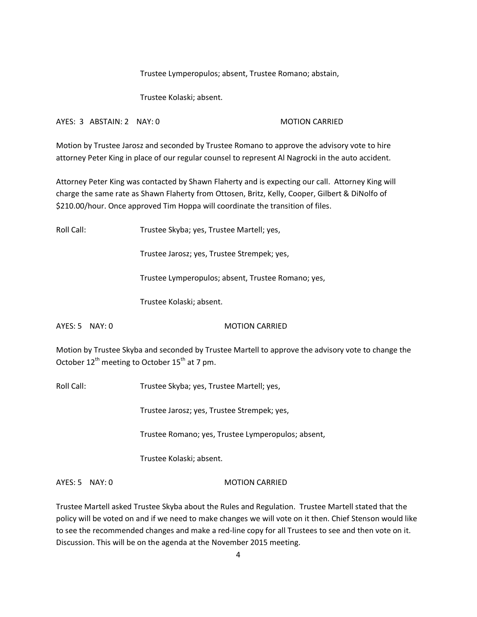Trustee Lymperopulos; absent, Trustee Romano; abstain,

Trustee Kolaski; absent.

AYES: 3 ABSTAIN: 2 NAY: 0 MOTION CARRIED

Motion by Trustee Jarosz and seconded by Trustee Romano to approve the advisory vote to hire attorney Peter King in place of our regular counsel to represent Al Nagrocki in the auto accident.

Attorney Peter King was contacted by Shawn Flaherty and is expecting our call. Attorney King will charge the same rate as Shawn Flaherty from Ottosen, Britz, Kelly, Cooper, Gilbert & DiNolfo of \$210.00/hour. Once approved Tim Hoppa will coordinate the transition of files.

Roll Call: Trustee Skyba; yes, Trustee Martell; yes, Trustee Jarosz; yes, Trustee Strempek; yes, Trustee Lymperopulos; absent, Trustee Romano; yes, Trustee Kolaski; absent. AYES: 5 NAY: 0 MOTION CARRIED Motion by Trustee Skyba and seconded by Trustee Martell to approve the advisory vote to change the October  $12^{th}$  meeting to October  $15^{th}$  at 7 pm. Roll Call: Trustee Skyba; yes, Trustee Martell; yes, Trustee Jarosz; yes, Trustee Strempek; yes, Trustee Romano; yes, Trustee Lymperopulos; absent,

Trustee Kolaski; absent.

AYES: 5 NAY: 0 MOTION CARRIED

Trustee Martell asked Trustee Skyba about the Rules and Regulation. Trustee Martell stated that the policy will be voted on and if we need to make changes we will vote on it then. Chief Stenson would like to see the recommended changes and make a red-line copy for all Trustees to see and then vote on it. Discussion. This will be on the agenda at the November 2015 meeting.